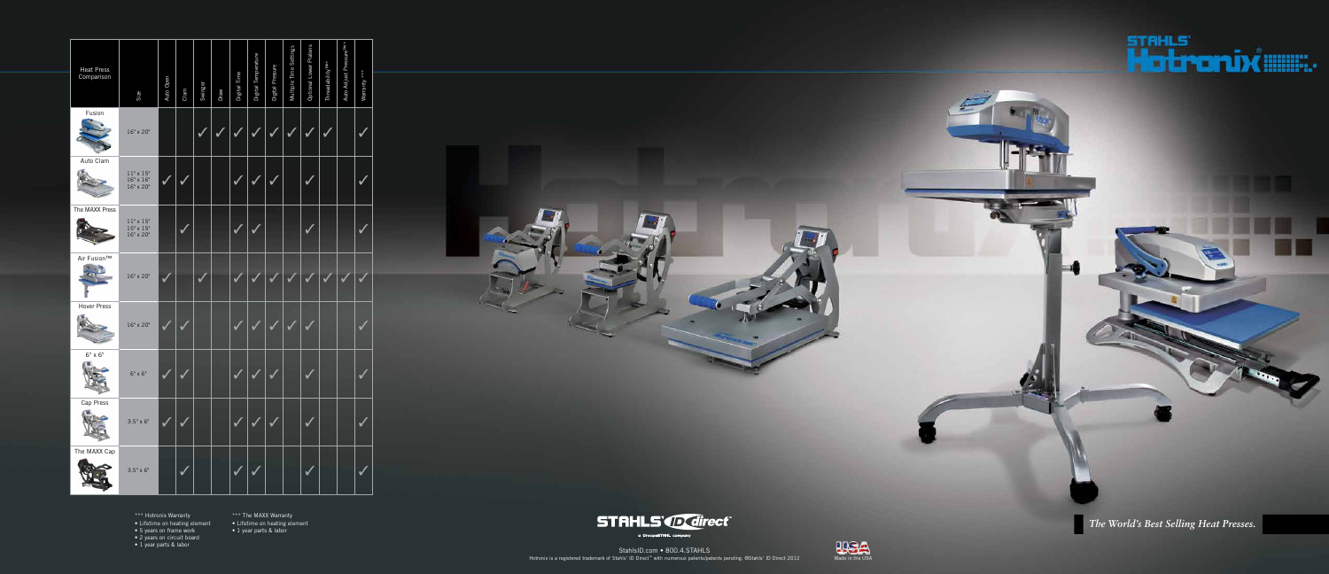| <b>Heat Press</b> |                                                                           |           |      |         |      |              |                     |                  |                        |                        |                              |                                     |              |  |
|-------------------|---------------------------------------------------------------------------|-----------|------|---------|------|--------------|---------------------|------------------|------------------------|------------------------|------------------------------|-------------------------------------|--------------|--|
| Comparison        | Size                                                                      | Auto Open | Clam | Swinger | Draw | Digital Time | Digital Temperature | Digital Pressure | Multiple Time Settings | Optional Lower Platens | Threadability <sup>TM*</sup> | Auto Adjust Pressure <sup>TM*</sup> | Warranty *** |  |
| Fusion            | 16" x 20"                                                                 |           |      |         |      |              |                     |                  |                        |                        |                              |                                     |              |  |
| Auto Clam         |                                                                           |           |      |         |      |              |                     |                  |                        |                        |                              |                                     |              |  |
|                   | $11" \times 15"$<br>$16" \times 16"$<br>$16" \times 20"$                  | ✔         |      |         |      |              |                     |                  |                        |                        |                              |                                     |              |  |
| The MAXX Press    |                                                                           |           |      |         |      |              |                     |                  |                        |                        |                              |                                     |              |  |
|                   | $\begin{array}{l} 11"\times15"\\ 15"\times15"\\ 16"\times20" \end{array}$ |           |      |         |      |              |                     |                  |                        |                        |                              |                                     |              |  |
| Air Fusion™       | 16" x 20"                                                                 | V         |      |         |      |              |                     |                  |                        |                        |                              |                                     |              |  |
| Hover Press       |                                                                           |           |      |         |      |              |                     |                  |                        |                        |                              |                                     |              |  |
|                   | 16" x 20"                                                                 | V         |      |         |      |              |                     | M                |                        |                        |                              |                                     |              |  |
| $6" \times 6"$    |                                                                           |           |      |         |      |              |                     |                  |                        |                        |                              |                                     |              |  |
| CW.               | $6" \times 6"$                                                            |           |      |         |      |              |                     |                  |                        |                        |                              |                                     |              |  |
| Cap Press         | $3.5" \times 6"$                                                          |           |      |         |      |              |                     |                  |                        |                        |                              |                                     |              |  |
| The MAXX Cap      |                                                                           |           |      |         |      |              |                     |                  |                        |                        |                              |                                     |              |  |
|                   | $3.5" \times 6"$                                                          |           |      |         |      |              |                     |                  |                        |                        |                              |                                     |              |  |



*The World's Best Selling Heat Presses.*



\*\*\* Hotronix Warranty

• Lifetime on heating element

• 5 years on frame work

• 2 years on circuit board

• 1 year parts & labor

\*\*\* The MAXX Warranty

• Lifetime on heating element

• 1 year parts & labor



StahlsID.com • 800.4.STAHLS Hotronix is a registered trademark of Stahls' ID Direct™ with numerous patents/patents pending. ©Stahls' ID Direct 2012